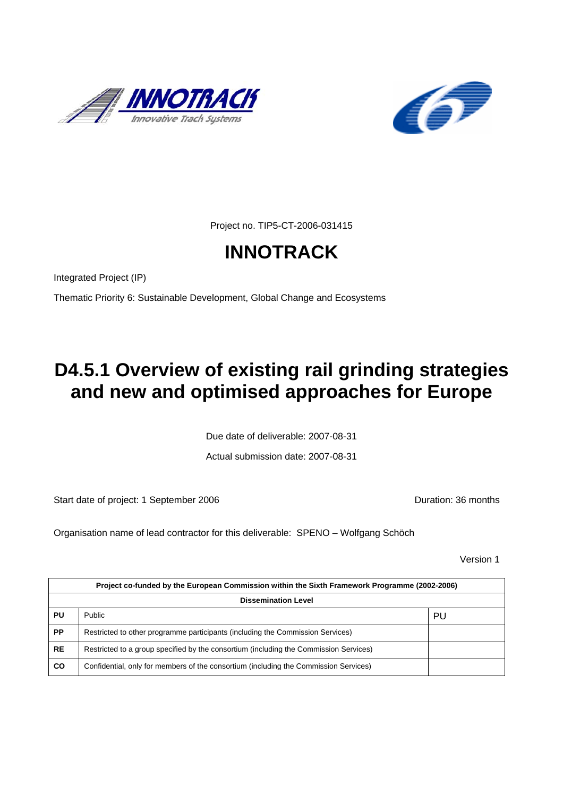



Project no. TIP5-CT-2006-031415

# **INNOTRACK**

Integrated Project (IP)

Thematic Priority 6: Sustainable Development, Global Change and Ecosystems

# **D4.5.1 Overview of existing rail grinding strategies and new and optimised approaches for Europe**

Due date of deliverable: 2007-08-31

Actual submission date: 2007-08-31

Start date of project: 1 September 2006 **Duration: 36 months** 

Organisation name of lead contractor for this deliverable: SPENO – Wolfgang Schöch

Version 1

| Project co-funded by the European Commission within the Sixth Framework Programme (2002-2006) |                                                                                       |    |  |
|-----------------------------------------------------------------------------------------------|---------------------------------------------------------------------------------------|----|--|
| <b>Dissemination Level</b>                                                                    |                                                                                       |    |  |
| PU                                                                                            | Public                                                                                | PU |  |
| PP                                                                                            | Restricted to other programme participants (including the Commission Services)        |    |  |
| <b>RE</b>                                                                                     | Restricted to a group specified by the consortium (including the Commission Services) |    |  |
| <b>CO</b>                                                                                     | Confidential, only for members of the consortium (including the Commission Services)  |    |  |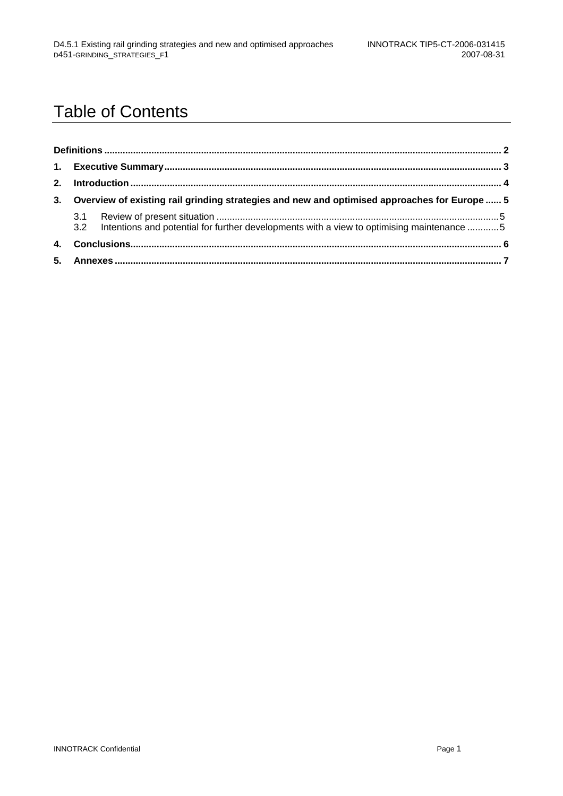## Table of Contents

|  |  | 3. Overview of existing rail grinding strategies and new and optimised approaches for Europe  5 |  |
|--|--|-------------------------------------------------------------------------------------------------|--|
|  |  | 3.2 Intentions and potential for further developments with a view to optimising maintenance 5   |  |
|  |  |                                                                                                 |  |
|  |  |                                                                                                 |  |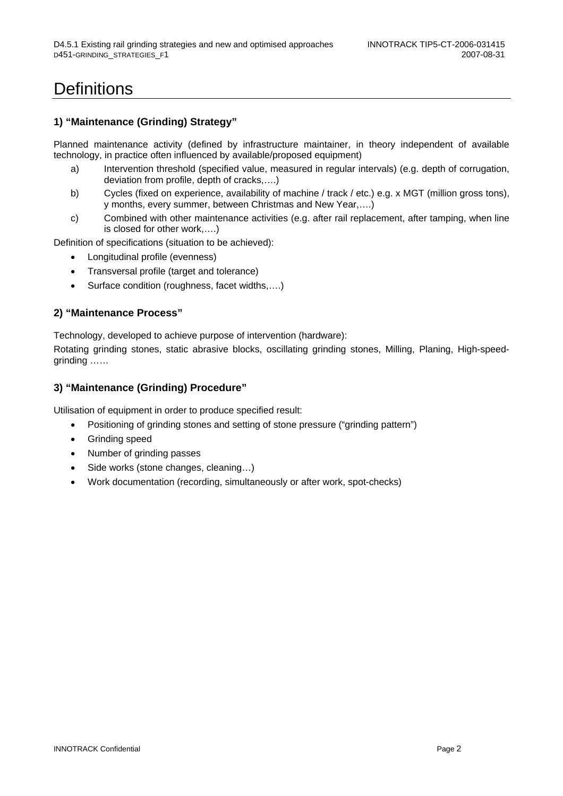### **Definitions**

#### **1) "Maintenance (Grinding) Strategy"**

Planned maintenance activity (defined by infrastructure maintainer, in theory independent of available technology, in practice often influenced by available/proposed equipment)

- a) Intervention threshold (specified value, measured in regular intervals) (e.g. depth of corrugation, deviation from profile, depth of cracks,….)
- b) Cycles (fixed on experience, availability of machine / track / etc.) e.g. x MGT (million gross tons), y months, every summer, between Christmas and New Year,….)
- c) Combined with other maintenance activities (e.g. after rail replacement, after tamping, when line is closed for other work,….)

Definition of specifications (situation to be achieved):

- Longitudinal profile (evenness)
- Transversal profile (target and tolerance)
- Surface condition (roughness, facet widths,....)

#### **2) "Maintenance Process"**

Technology, developed to achieve purpose of intervention (hardware):

Rotating grinding stones, static abrasive blocks, oscillating grinding stones, Milling, Planing, High-speedgrinding ……

#### **3) "Maintenance (Grinding) Procedure"**

Utilisation of equipment in order to produce specified result:

- Positioning of grinding stones and setting of stone pressure ("grinding pattern")
- Grinding speed
- Number of grinding passes
- Side works (stone changes, cleaning…)
- Work documentation (recording, simultaneously or after work, spot-checks)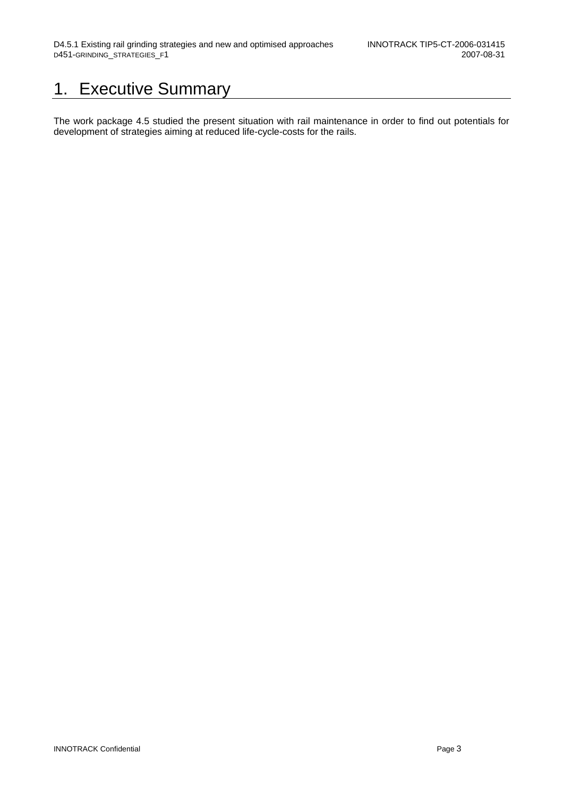### 1. Executive Summary

The work package 4.5 studied the present situation with rail maintenance in order to find out potentials for development of strategies aiming at reduced life-cycle-costs for the rails.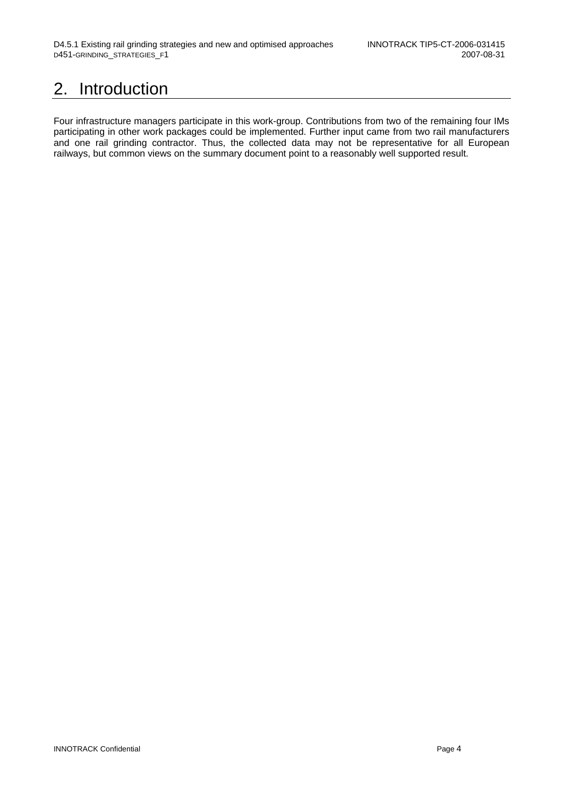## 2. Introduction

Four infrastructure managers participate in this work-group. Contributions from two of the remaining four IMs participating in other work packages could be implemented. Further input came from two rail manufacturers and one rail grinding contractor. Thus, the collected data may not be representative for all European railways, but common views on the summary document point to a reasonably well supported result.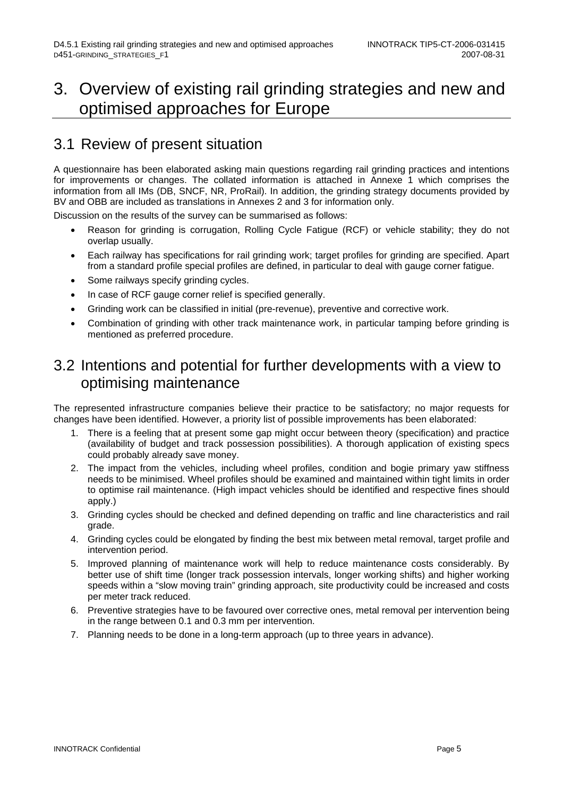#### 3. Overview of existing rail grinding strategies and new and optimised approaches for Europe

#### 3.1 Review of present situation

A questionnaire has been elaborated asking main questions regarding rail grinding practices and intentions for improvements or changes. The collated information is attached in Annexe 1 which comprises the information from all IMs (DB, SNCF, NR, ProRail). In addition, the grinding strategy documents provided by BV and OBB are included as translations in Annexes 2 and 3 for information only.

Discussion on the results of the survey can be summarised as follows:

- Reason for grinding is corrugation, Rolling Cycle Fatigue (RCF) or vehicle stability; they do not overlap usually.
- Each railway has specifications for rail grinding work; target profiles for grinding are specified. Apart from a standard profile special profiles are defined, in particular to deal with gauge corner fatigue.
- Some railways specify grinding cycles.
- In case of RCF gauge corner relief is specified generally.
- Grinding work can be classified in initial (pre-revenue), preventive and corrective work.
- Combination of grinding with other track maintenance work, in particular tamping before grinding is mentioned as preferred procedure.

#### 3.2 Intentions and potential for further developments with a view to optimising maintenance

The represented infrastructure companies believe their practice to be satisfactory; no major requests for changes have been identified. However, a priority list of possible improvements has been elaborated:

- 1. There is a feeling that at present some gap might occur between theory (specification) and practice (availability of budget and track possession possibilities). A thorough application of existing specs could probably already save money.
- 2. The impact from the vehicles, including wheel profiles, condition and bogie primary yaw stiffness needs to be minimised. Wheel profiles should be examined and maintained within tight limits in order to optimise rail maintenance. (High impact vehicles should be identified and respective fines should apply.)
- 3. Grinding cycles should be checked and defined depending on traffic and line characteristics and rail grade.
- 4. Grinding cycles could be elongated by finding the best mix between metal removal, target profile and intervention period.
- 5. Improved planning of maintenance work will help to reduce maintenance costs considerably. By better use of shift time (longer track possession intervals, longer working shifts) and higher working speeds within a "slow moving train" grinding approach, site productivity could be increased and costs per meter track reduced.
- 6. Preventive strategies have to be favoured over corrective ones, metal removal per intervention being in the range between 0.1 and 0.3 mm per intervention.
- 7. Planning needs to be done in a long-term approach (up to three years in advance).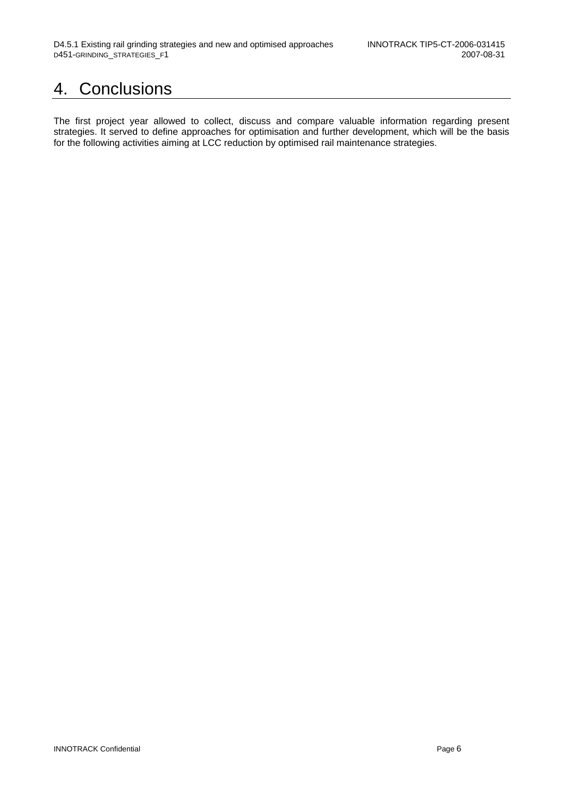### 4. Conclusions

The first project year allowed to collect, discuss and compare valuable information regarding present strategies. It served to define approaches for optimisation and further development, which will be the basis for the following activities aiming at LCC reduction by optimised rail maintenance strategies.